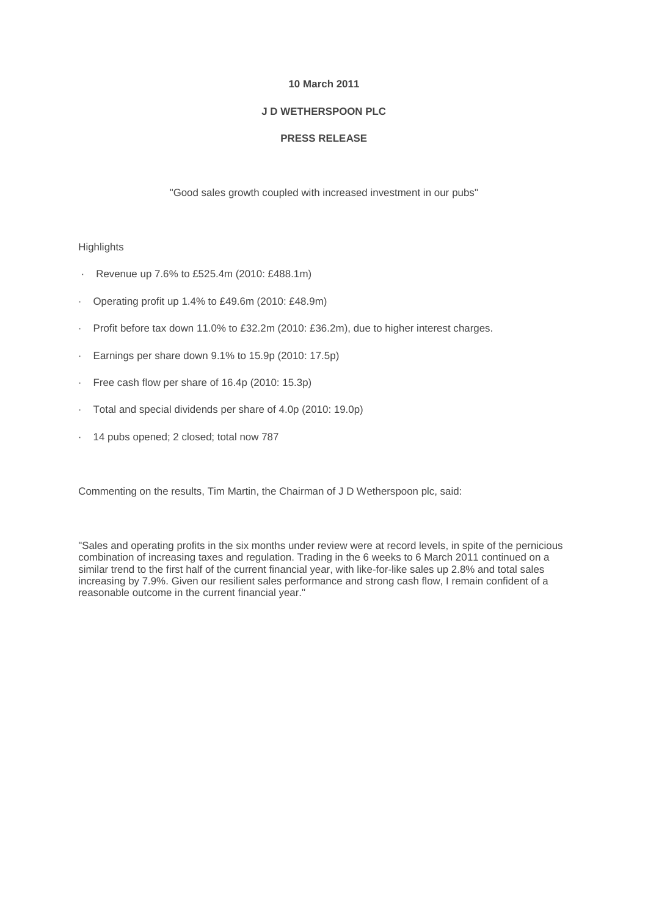### **10 March 2011**

### **J D WETHERSPOON PLC**

## **PRESS RELEASE**

"Good sales growth coupled with increased investment in our pubs"

#### **Highlights**

- · Revenue up 7.6% to £525.4m (2010: £488.1m)
- · Operating profit up 1.4% to £49.6m (2010: £48.9m)
- · Profit before tax down 11.0% to £32.2m (2010: £36.2m), due to higher interest charges.
- · Earnings per share down 9.1% to 15.9p (2010: 17.5p)
- · Free cash flow per share of 16.4p (2010: 15.3p)
- · Total and special dividends per share of 4.0p (2010: 19.0p)
- 14 pubs opened; 2 closed; total now 787

Commenting on the results, Tim Martin, the Chairman of J D Wetherspoon plc, said:

"Sales and operating profits in the six months under review were at record levels, in spite of the pernicious combination of increasing taxes and regulation. Trading in the 6 weeks to 6 March 2011 continued on a similar trend to the first half of the current financial year, with like-for-like sales up 2.8% and total sales increasing by 7.9%. Given our resilient sales performance and strong cash flow, I remain confident of a reasonable outcome in the current financial year."